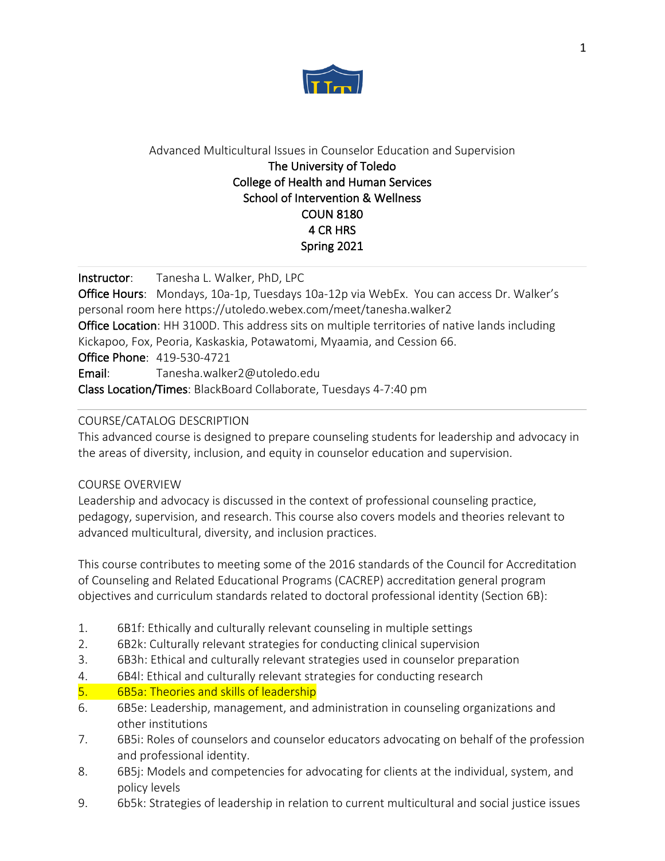

# Advanced Multicultural Issues in Counselor Education and Supervision The University of Toledo College of Health and Human Services School of Intervention & Wellness COUN 8180 4 CR HRS Spring 2021

Instructor: Tanesha L. Walker, PhD, LPC

Office Hours: Mondays, 10a-1p, Tuesdays 10a-12p via WebEx. You can access Dr. Walker's personal room here https://utoledo.webex.com/meet/tanesha.walker2 Office Location: HH 3100D. This address sits on multiple territories of native lands including Kickapoo, Fox, Peoria, Kaskaskia, Potawatomi, Myaamia, and Cession 66. Office Phone: 419-530-4721 Email: Tanesha.walker2@utoledo.edu

Class Location/Times: BlackBoard Collaborate, Tuesdays 4-7:40 pm

## COURSE/CATALOG DESCRIPTION

This advanced course is designed to prepare counseling students for leadership and advocacy in the areas of diversity, inclusion, and equity in counselor education and supervision.

## COURSE OVERVIEW

Leadership and advocacy is discussed in the context of professional counseling practice, pedagogy, supervision, and research. This course also covers models and theories relevant to advanced multicultural, diversity, and inclusion practices.

This course contributes to meeting some of the 2016 standards of the Council for Accreditation of Counseling and Related Educational Programs (CACREP) accreditation general program objectives and curriculum standards related to doctoral professional identity (Section 6B):

- 1. 6B1f: Ethically and culturally relevant counseling in multiple settings
- 2. 6B2k: Culturally relevant strategies for conducting clinical supervision
- 3. 6B3h: Ethical and culturally relevant strategies used in counselor preparation
- 4. 6B4l: Ethical and culturally relevant strategies for conducting research
- 5. 6B5a: Theories and skills of leadership
- 6. 6B5e: Leadership, management, and administration in counseling organizations and other institutions
- 7. 6B5i: Roles of counselors and counselor educators advocating on behalf of the profession and professional identity.
- 8. 6B5j: Models and competencies for advocating for clients at the individual, system, and policy levels
- 9. 6b5k: Strategies of leadership in relation to current multicultural and social justice issues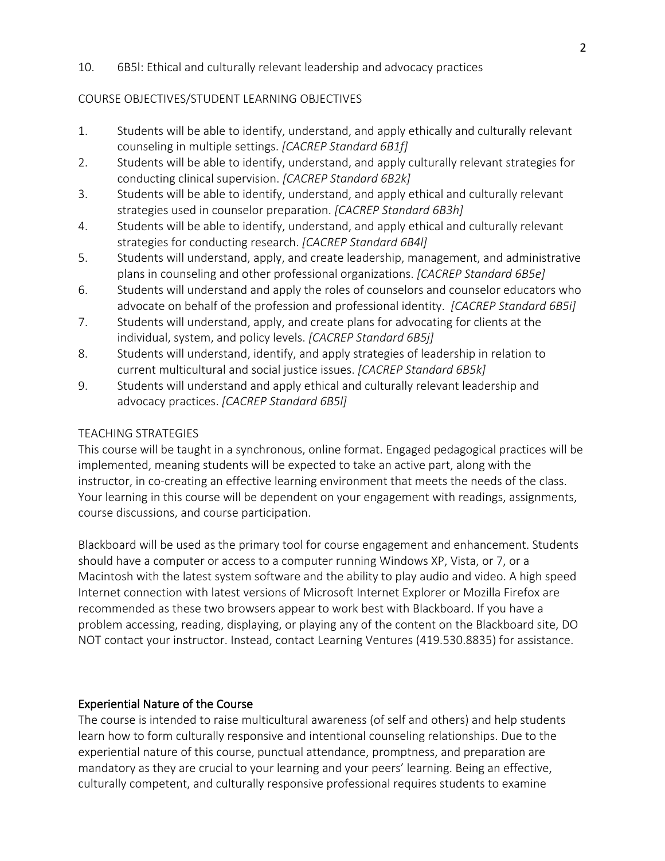#### 10. 6B5l: Ethical and culturally relevant leadership and advocacy practices

#### COURSE OBJECTIVES/STUDENT LEARNING OBJECTIVES

- 1. Students will be able to identify, understand, and apply ethically and culturally relevant counseling in multiple settings. *[CACREP Standard 6B1f]*
- 2. Students will be able to identify, understand, and apply culturally relevant strategies for conducting clinical supervision. *[CACREP Standard 6B2k]*
- 3. Students will be able to identify, understand, and apply ethical and culturally relevant strategies used in counselor preparation. *[CACREP Standard 6B3h]*
- 4. Students will be able to identify, understand, and apply ethical and culturally relevant strategies for conducting research. *[CACREP Standard 6B4l]*
- 5. Students will understand, apply, and create leadership, management, and administrative plans in counseling and other professional organizations. *[CACREP Standard 6B5e]*
- 6. Students will understand and apply the roles of counselors and counselor educators who advocate on behalf of the profession and professional identity. *[CACREP Standard 6B5i]*
- 7. Students will understand, apply, and create plans for advocating for clients at the individual, system, and policy levels. *[CACREP Standard 6B5j]*
- 8. Students will understand, identify, and apply strategies of leadership in relation to current multicultural and social justice issues. *[CACREP Standard 6B5k]*
- 9. Students will understand and apply ethical and culturally relevant leadership and advocacy practices. *[CACREP Standard 6B5l]*

#### TEACHING STRATEGIES

This course will be taught in a synchronous, online format. Engaged pedagogical practices will be implemented, meaning students will be expected to take an active part, along with the instructor, in co-creating an effective learning environment that meets the needs of the class. Your learning in this course will be dependent on your engagement with readings, assignments, course discussions, and course participation.

Blackboard will be used as the primary tool for course engagement and enhancement. Students should have a computer or access to a computer running Windows XP, Vista, or 7, or a Macintosh with the latest system software and the ability to play audio and video. A high speed Internet connection with latest versions of Microsoft Internet Explorer or Mozilla Firefox are recommended as these two browsers appear to work best with Blackboard. If you have a problem accessing, reading, displaying, or playing any of the content on the Blackboard site, DO NOT contact your instructor. Instead, contact Learning Ventures (419.530.8835) for assistance.

#### Experiential Nature of the Course

The course is intended to raise multicultural awareness (of self and others) and help students learn how to form culturally responsive and intentional counseling relationships. Due to the experiential nature of this course, punctual attendance, promptness, and preparation are mandatory as they are crucial to your learning and your peers' learning. Being an effective, culturally competent, and culturally responsive professional requires students to examine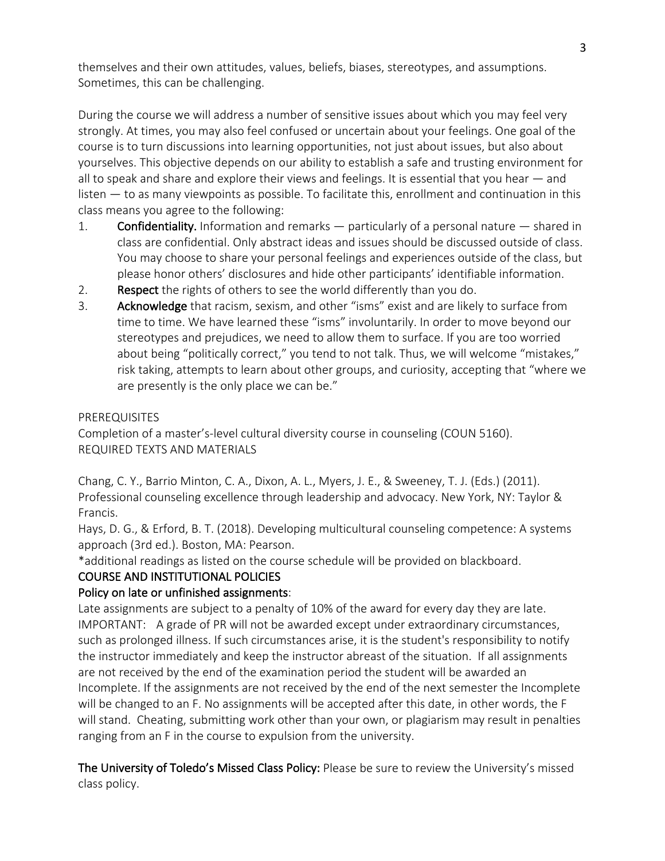themselves and their own attitudes, values, beliefs, biases, stereotypes, and assumptions. Sometimes, this can be challenging.

During the course we will address a number of sensitive issues about which you may feel very strongly. At times, you may also feel confused or uncertain about your feelings. One goal of the course is to turn discussions into learning opportunities, not just about issues, but also about yourselves. This objective depends on our ability to establish a safe and trusting environment for all to speak and share and explore their views and feelings. It is essential that you hear — and listen — to as many viewpoints as possible. To facilitate this, enrollment and continuation in this class means you agree to the following:

- 1. Confidentiality. Information and remarks particularly of a personal nature shared in class are confidential. Only abstract ideas and issues should be discussed outside of class. You may choose to share your personal feelings and experiences outside of the class, but please honor others' disclosures and hide other participants' identifiable information.
- 2. Respect the rights of others to see the world differently than you do.
- 3. Acknowledge that racism, sexism, and other "isms" exist and are likely to surface from time to time. We have learned these "isms" involuntarily. In order to move beyond our stereotypes and prejudices, we need to allow them to surface. If you are too worried about being "politically correct," you tend to not talk. Thus, we will welcome "mistakes," risk taking, attempts to learn about other groups, and curiosity, accepting that "where we are presently is the only place we can be."

#### PREREQUISITES

Completion of a master's-level cultural diversity course in counseling (COUN 5160). REQUIRED TEXTS AND MATERIALS

Chang, C. Y., Barrio Minton, C. A., Dixon, A. L., Myers, J. E., & Sweeney, T. J. (Eds.) (2011). Professional counseling excellence through leadership and advocacy. New York, NY: Taylor & Francis.

Hays, D. G., & Erford, B. T. (2018). Developing multicultural counseling competence: A systems approach (3rd ed.). Boston, MA: Pearson.

\*additional readings as listed on the course schedule will be provided on blackboard.

## COURSE AND INSTITUTIONAL POLICIES

## Policy on late or unfinished assignments:

Late assignments are subject to a penalty of 10% of the award for every day they are late. IMPORTANT: A grade of PR will not be awarded except under extraordinary circumstances, such as prolonged illness. If such circumstances arise, it is the student's responsibility to notify the instructor immediately and keep the instructor abreast of the situation. If all assignments are not received by the end of the examination period the student will be awarded an Incomplete. If the assignments are not received by the end of the next semester the Incomplete will be changed to an F. No assignments will be accepted after this date, in other words, the F will stand. Cheating, submitting work other than your own, or plagiarism may result in penalties ranging from an F in the course to expulsion from the university.

The University of Toledo's Missed Class Policy: Please be sure to review the University's missed class policy.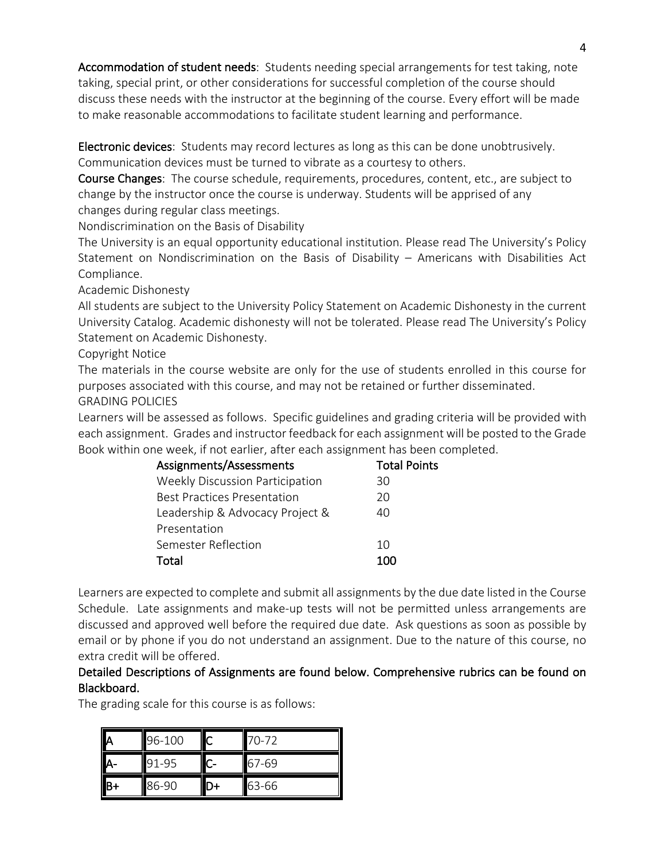Accommodation of student needs: Students needing special arrangements for test taking, note taking, special print, or other considerations for successful completion of the course should discuss these needs with the instructor at the beginning of the course. Every effort will be made to make reasonable accommodations to facilitate student learning and performance.

Electronic devices: Students may record lectures as long as this can be done unobtrusively. Communication devices must be turned to vibrate as a courtesy to others.

Course Changes: The course schedule, requirements, procedures, content, etc., are subject to change by the instructor once the course is underway. Students will be apprised of any changes during regular class meetings.

Nondiscrimination on the Basis of Disability

The University is an equal opportunity educational institution. Please read The University's Policy Statement on Nondiscrimination on the Basis of Disability – Americans with Disabilities Act Compliance.

Academic Dishonesty

All students are subject to the University Policy Statement on Academic Dishonesty in the current University Catalog. Academic dishonesty will not be tolerated. Please read The University's Policy Statement on Academic Dishonesty.

Copyright Notice

The materials in the course website are only for the use of students enrolled in this course for purposes associated with this course, and may not be retained or further disseminated.

GRADING POLICIES

Learners will be assessed as follows. Specific guidelines and grading criteria will be provided with each assignment. Grades and instructor feedback for each assignment will be posted to the Grade Book within one week, if not earlier, after each assignment has been completed.

| Assignments/Assessments                | <b>Total Points</b> |
|----------------------------------------|---------------------|
| <b>Weekly Discussion Participation</b> | 30                  |
| <b>Best Practices Presentation</b>     | 20                  |
| Leadership & Advocacy Project &        | 40                  |
| Presentation                           |                     |
| Semester Reflection                    | 10                  |
| Total                                  | 1∩∩                 |

Learners are expected to complete and submit all assignments by the due date listed in the Course Schedule. Late assignments and make-up tests will not be permitted unless arrangements are discussed and approved well before the required due date. Ask questions as soon as possible by email or by phone if you do not understand an assignment. Due to the nature of this course, no extra credit will be offered.

# Detailed Descriptions of Assignments are found below. Comprehensive rubrics can be found on Blackboard.

The grading scale for this course is as follows:

| 96-100 | 70-72 |
|--------|-------|
| 91-95  | 67-69 |
| 86-90  | 63-66 |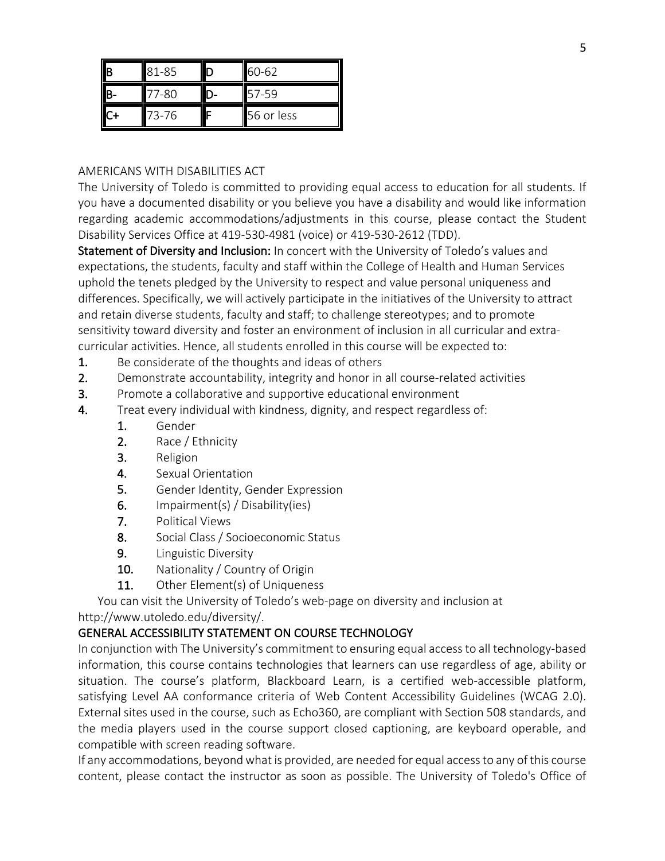| IIB | 81-85 | 60-62      |
|-----|-------|------------|
|     |       | '-59       |
|     | 73-76 | 56 or less |

#### AMERICANS WITH DISABILITIES ACT

The University of Toledo is committed to providing equal access to education for all students. If you have a documented disability or you believe you have a disability and would like information regarding academic accommodations/adjustments in this course, please contact the Student Disability Services Office at 419-530-4981 (voice) or 419-530-2612 (TDD).

Statement of Diversity and Inclusion: In concert with the University of Toledo's values and expectations, the students, faculty and staff within the College of Health and Human Services uphold the tenets pledged by the University to respect and value personal uniqueness and differences. Specifically, we will actively participate in the initiatives of the University to attract and retain diverse students, faculty and staff; to challenge stereotypes; and to promote sensitivity toward diversity and foster an environment of inclusion in all curricular and extracurricular activities. Hence, all students enrolled in this course will be expected to:

- 1. Be considerate of the thoughts and ideas of others
- 2. Demonstrate accountability, integrity and honor in all course-related activities
- 3. Promote a collaborative and supportive educational environment
- 4. Treat every individual with kindness, dignity, and respect regardless of:
	- 1. Gender
	- 2. Race / Ethnicity
	- 3. Religion
	- 4. Sexual Orientation
	- 5. Gender Identity, Gender Expression
	- 6. Impairment(s) / Disability(ies)
	- 7. Political Views
	- 8. Social Class / Socioeconomic Status
	- 9. Linguistic Diversity
	- 10. Nationality / Country of Origin
	- 11. Other Element(s) of Uniqueness

You can visit the University of Toledo's web-page on diversity and inclusion at

http://www.utoledo.edu/diversity/.

## GENERAL ACCESSIBILITY STATEMENT ON COURSE TECHNOLOGY

In conjunction with The University's commitment to ensuring equal access to all technology-based information, this course contains technologies that learners can use regardless of age, ability or situation. The course's platform, Blackboard Learn, is a certified web-accessible platform, satisfying Level AA conformance criteria of Web Content Accessibility Guidelines (WCAG 2.0). External sites used in the course, such as Echo360, are compliant with Section 508 standards, and the media players used in the course support closed captioning, are keyboard operable, and compatible with screen reading software.

If any accommodations, beyond what is provided, are needed for equal access to any of this course content, please contact the instructor as soon as possible. The University of Toledo's Office of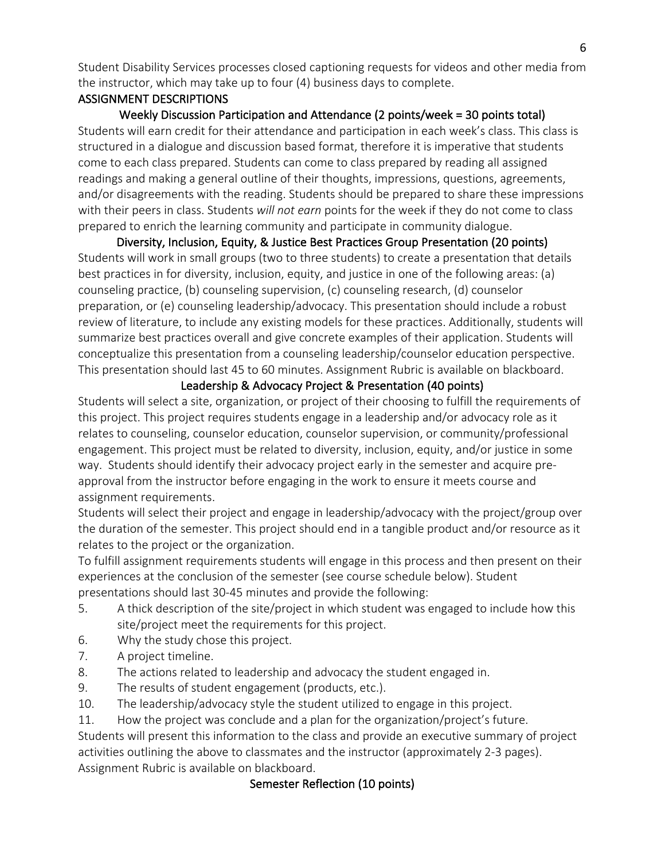Student Disability Services processes closed captioning requests for videos and other media from the instructor, which may take up to four (4) business days to complete.

## ASSIGNMENT DESCRIPTIONS

Weekly Discussion Participation and Attendance (2 points/week = 30 points total) Students will earn credit for their attendance and participation in each week's class. This class is structured in a dialogue and discussion based format, therefore it is imperative that students come to each class prepared. Students can come to class prepared by reading all assigned readings and making a general outline of their thoughts, impressions, questions, agreements, and/or disagreements with the reading. Students should be prepared to share these impressions with their peers in class. Students *will not earn* points for the week if they do not come to class prepared to enrich the learning community and participate in community dialogue.

Diversity, Inclusion, Equity, & Justice Best Practices Group Presentation (20 points) Students will work in small groups (two to three students) to create a presentation that details best practices in for diversity, inclusion, equity, and justice in one of the following areas: (a) counseling practice, (b) counseling supervision, (c) counseling research, (d) counselor preparation, or (e) counseling leadership/advocacy. This presentation should include a robust review of literature, to include any existing models for these practices. Additionally, students will summarize best practices overall and give concrete examples of their application. Students will conceptualize this presentation from a counseling leadership/counselor education perspective. This presentation should last 45 to 60 minutes. Assignment Rubric is available on blackboard.

## Leadership & Advocacy Project & Presentation (40 points)

Students will select a site, organization, or project of their choosing to fulfill the requirements of this project. This project requires students engage in a leadership and/or advocacy role as it relates to counseling, counselor education, counselor supervision, or community/professional engagement. This project must be related to diversity, inclusion, equity, and/or justice in some way. Students should identify their advocacy project early in the semester and acquire preapproval from the instructor before engaging in the work to ensure it meets course and assignment requirements.

Students will select their project and engage in leadership/advocacy with the project/group over the duration of the semester. This project should end in a tangible product and/or resource as it relates to the project or the organization.

To fulfill assignment requirements students will engage in this process and then present on their experiences at the conclusion of the semester (see course schedule below). Student presentations should last 30-45 minutes and provide the following:

- 5. A thick description of the site/project in which student was engaged to include how this site/project meet the requirements for this project.
- 6. Why the study chose this project.
- 7. A project timeline.
- 8. The actions related to leadership and advocacy the student engaged in.
- 9. The results of student engagement (products, etc.).
- 10. The leadership/advocacy style the student utilized to engage in this project.
- 11. How the project was conclude and a plan for the organization/project's future.

Students will present this information to the class and provide an executive summary of project activities outlining the above to classmates and the instructor (approximately 2-3 pages). Assignment Rubric is available on blackboard.

# Semester Reflection (10 points)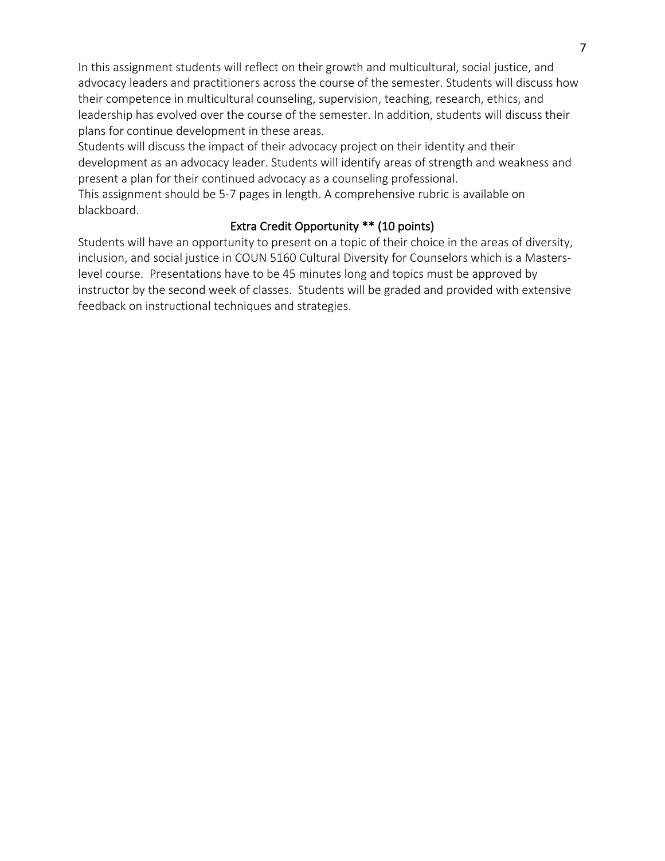In this assignment students will reflect on their growth and multicultural, social justice, and advocacy leaders and practitioners across the course of the semester. Students will discuss how their competence in multicultural counseling, supervision, teaching, research, ethics, and leadership has evolved over the course of the semester. In addition, students will discuss their plans for continue development in these areas.

Students will discuss the impact of their advocacy project on their identity and their development as an advocacy leader. Students will identify areas of strength and weakness and present a plan for their continued advocacy as a counseling professional.

This assignment should be 5-7 pages in length. A comprehensive rubric is available on blackboard.

# Extra Credit Opportunity \*\* (10 points)

Students will have an opportunity to present on a topic of their choice in the areas of diversity, inclusion, and social justice in COUN 5160 Cultural Diversity for Counselors which is a Masterslevel course. Presentations have to be 45 minutes long and topics must be approved by instructor by the second week of classes. Students will be graded and provided with extensive feedback on instructional techniques and strategies.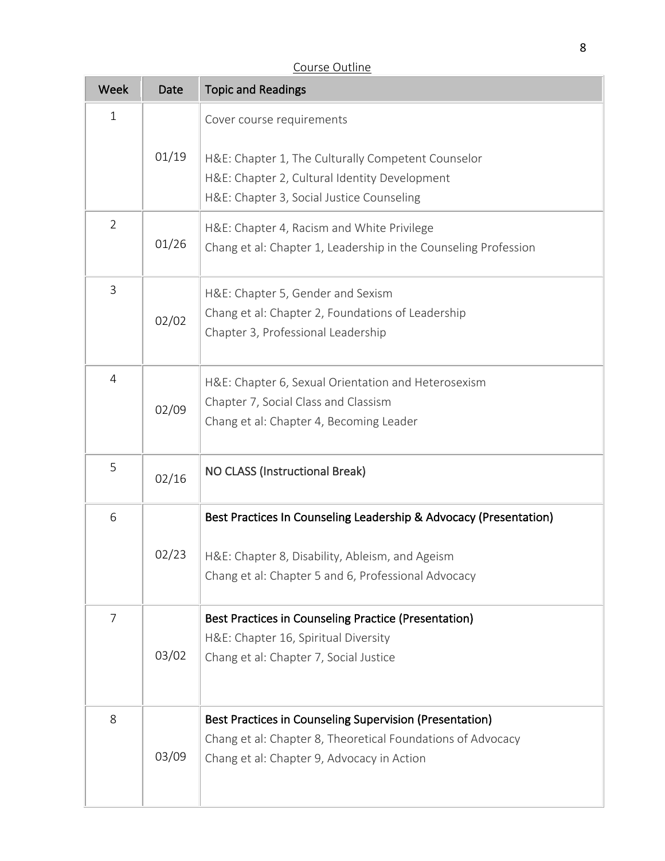| <b>Week</b>    | Date  | <b>Topic and Readings</b>                                                                                                                                            |
|----------------|-------|----------------------------------------------------------------------------------------------------------------------------------------------------------------------|
| $\mathbf 1$    |       | Cover course requirements                                                                                                                                            |
|                | 01/19 | H&E: Chapter 1, The Culturally Competent Counselor<br>H&E: Chapter 2, Cultural Identity Development<br>H&E: Chapter 3, Social Justice Counseling                     |
| $\overline{2}$ | 01/26 | H&E: Chapter 4, Racism and White Privilege<br>Chang et al: Chapter 1, Leadership in the Counseling Profession                                                        |
| 3              | 02/02 | H&E: Chapter 5, Gender and Sexism<br>Chang et al: Chapter 2, Foundations of Leadership<br>Chapter 3, Professional Leadership                                         |
| 4              | 02/09 | H&E: Chapter 6, Sexual Orientation and Heterosexism<br>Chapter 7, Social Class and Classism<br>Chang et al: Chapter 4, Becoming Leader                               |
| 5              | 02/16 | <b>NO CLASS (Instructional Break)</b>                                                                                                                                |
| 6              |       | Best Practices In Counseling Leadership & Advocacy (Presentation)                                                                                                    |
|                | 02/23 | H&E: Chapter 8, Disability, Ableism, and Ageism<br>Chang et al: Chapter 5 and 6, Professional Advocacy                                                               |
| $\overline{7}$ | 03/02 | Best Practices in Counseling Practice (Presentation)<br>H&E: Chapter 16, Spiritual Diversity<br>Chang et al: Chapter 7, Social Justice                               |
| 8              | 03/09 | Best Practices in Counseling Supervision (Presentation)<br>Chang et al: Chapter 8, Theoretical Foundations of Advocacy<br>Chang et al: Chapter 9, Advocacy in Action |